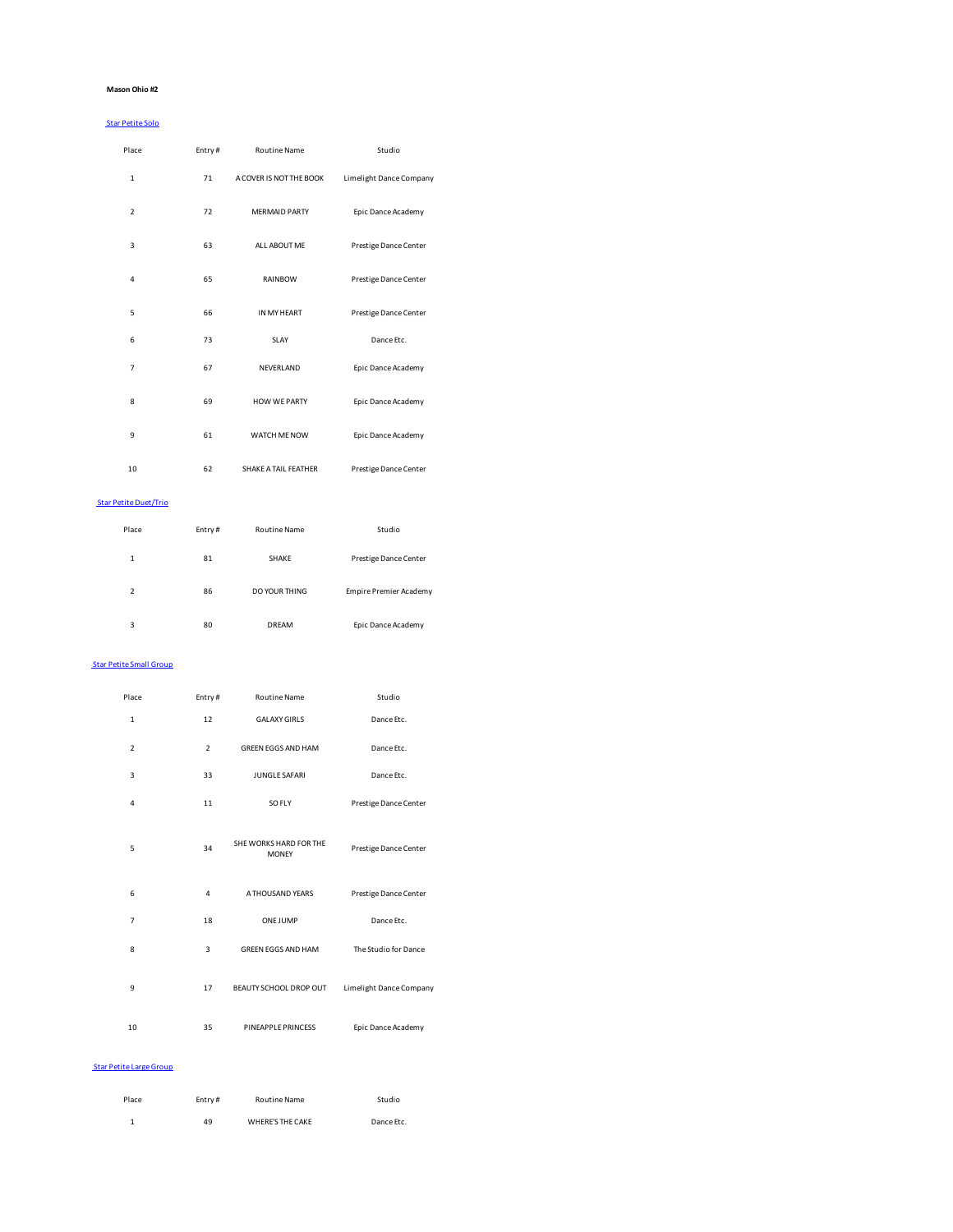## **Mason Ohio #2**

#### Star Petite Solo

| Place          | Entry# | <b>Routine Name</b>     | Studio                  |
|----------------|--------|-------------------------|-------------------------|
| $\mathbf{1}$   | 71     | A COVER IS NOT THE BOOK | Limelight Dance Company |
| $\overline{2}$ | 72     | <b>MERMAID PARTY</b>    | Epic Dance Academy      |
| 3              | 63     | ALL ABOUT ME            | Prestige Dance Center   |
| 4              | 65     | RAINBOW                 | Prestige Dance Center   |
| 5              | 66     | IN MY HEART             | Prestige Dance Center   |
| 6              | 73     | SLAY                    | Dance Etc.              |
| $\overline{7}$ | 67     | NEVERLAND               | Epic Dance Academy      |
| 8              | 69     | <b>HOW WE PARTY</b>     | Epic Dance Academy      |
| 9              | 61     | WATCH ME NOW            | Epic Dance Academy      |
| 10             | 62     | SHAKE A TAIL FEATHER    | Prestige Dance Center   |

#### Star Petite Duet/Trio

| Place                    | Entry# | <b>Routine Name</b> | Studio                 |
|--------------------------|--------|---------------------|------------------------|
| 1                        | 81     | SHAKE               | Prestige Dance Center  |
| $\overline{\phantom{a}}$ | 86     | DO YOUR THING       | Empire Premier Academy |
| 3                        | 80     | DRFAM               | Epic Dance Academy     |

#### Star Petite Small Group

| Place          | Entry#         | <b>Routine Name</b>                    | Studio                  |
|----------------|----------------|----------------------------------------|-------------------------|
| $\mathbf{1}$   | 12             | <b>GALAXY GIRLS</b>                    | Dance Etc.              |
| $\overline{2}$ | $\overline{2}$ | <b>GREEN EGGS AND HAM</b>              | Dance Etc.              |
| 3              | 33             | JUNGLE SAFARI                          | Dance Etc.              |
| 4              | 11             | SO FLY                                 | Prestige Dance Center   |
| 5              | 34             | SHE WORKS HARD FOR THE<br><b>MONEY</b> | Prestige Dance Center   |
| 6              | 4              | A THOUSAND YEARS                       | Prestige Dance Center   |
| $\overline{7}$ | 18             | <b>ONE JUMP</b>                        | Dance Etc.              |
| 8              | 3              | GREEN EGGS AND HAM                     | The Studio for Dance    |
| 9              | 17             | BEAUTY SCHOOL DROP OUT                 | Limelight Dance Company |
| 10             | 35             | PINEAPPLE PRINCESS                     | Epic Dance Academy      |

#### Star Petite Large Group

| Place | Entry# | Routine Name     | Studio     |
|-------|--------|------------------|------------|
|       | 49     | WHERE'S THE CAKE | Dance Etc. |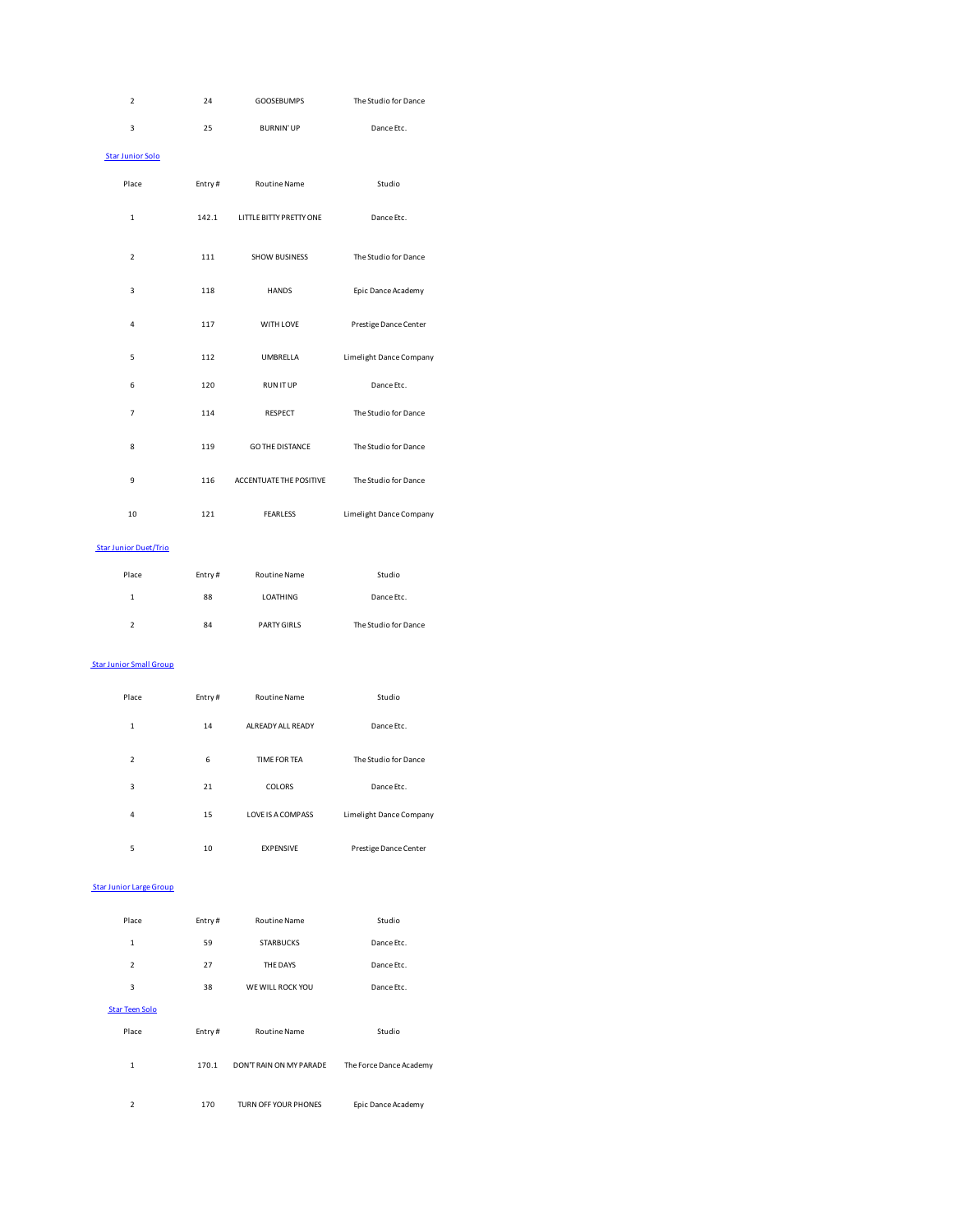| $\mathbf 2$                    | 24     | <b>GOOSEBUMPS</b>       | The Studio for Dance    |
|--------------------------------|--------|-------------------------|-------------------------|
| 3                              | 25     | <b>BURNIN' UP</b>       | Dance Etc.              |
| <b>Star Junior Solo</b>        |        |                         |                         |
| Place                          | Entry# | Routine Name            | Studio                  |
| $\mathbf 1$                    | 142.1  | LITTLE BITTY PRETTY ONE | Dance Etc.              |
| $\mathbf 2$                    | 111    | <b>SHOW BUSINESS</b>    | The Studio for Dance    |
| 3                              | 118    | <b>HANDS</b>            | Epic Dance Academy      |
| 4                              | 117    | WITH LOVE               | Prestige Dance Center   |
| 5                              | 112    | UMBRELLA                | Limelight Dance Company |
| 6                              | 120    | <b>RUNITUP</b>          | Dance Etc.              |
| $\overline{7}$                 | 114    | RESPECT                 | The Studio for Dance    |
| 8                              | 119    | <b>GO THE DISTANCE</b>  | The Studio for Dance    |
| 9                              | 116    | ACCENTUATE THE POSITIVE | The Studio for Dance    |
| 10                             | 121    | <b>FEARLESS</b>         | Limelight Dance Company |
| <b>Star Junior Duet/Trio</b>   |        |                         |                         |
| Place                          | Entry# | Routine Name            | Studio                  |
| $\mathbf 1$                    | 88     | LOATHING                | Dance Etc.              |
| $\overline{\mathbf{c}}$        | 84     | PARTY GIRLS             | The Studio for Dance    |
| <b>Star Junior Small Group</b> |        |                         |                         |
| Place                          | Entry# | Routine Name            | Studio                  |
| $\mathbf{1}$                   | 14     | ALREADY ALL READY       | Dance Etc.              |
| $\overline{\mathbf{c}}$        | 6      | TIME FOR TEA            | The Studio for Dance    |
| 3                              | 21     | COLORS                  | Dance Etc.              |
| 4                              | 15     | LOVE IS A COMPASS       | Limelight Dance Company |
| 5                              | 10     | EXPENSIVE               | Prestige Dance Center   |
| <b>Star Junior Large Group</b> |        |                         |                         |
| Place                          | Entry# | Routine Name            | Studio                  |
| $\mathbf{1}$                   | 59     | <b>STARBUCKS</b>        | Dance Etc.              |
| $\overline{2}$                 | 27     | THE DAYS                | Dance Etc.              |
| 3                              | 38     | WE WILL ROCK YOU        | Dance Etc.              |
| <b>Star Teen Solo</b>          |        |                         |                         |
| Place                          | Entry# | Routine Name            | Studio                  |
| $\mathbf 1$                    | 170.1  | DON'T RAIN ON MY PARADE | The Force Dance Academy |

2 170 TURN OFF YOUR PHONES Epic Dance Academy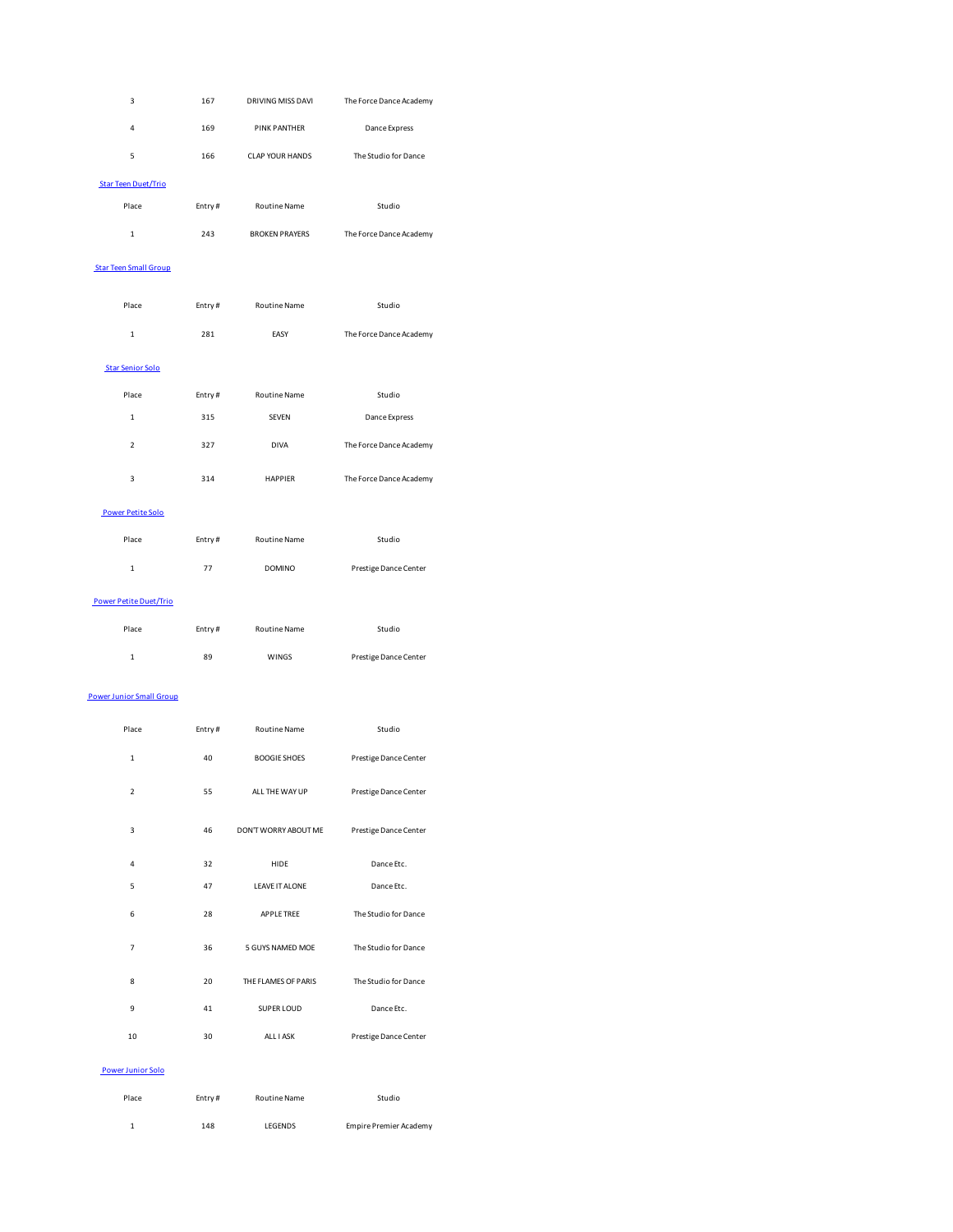| 3                          | 167    | DRIVING MISS DAVI     | The Force Dance Academy |
|----------------------------|--------|-----------------------|-------------------------|
| 4                          | 169    | <b>PINK PANTHER</b>   | Dance Express           |
| 5                          | 166    | CLAP YOUR HANDS       | The Studio for Dance    |
| <b>Star Teen Duet/Trio</b> |        |                       |                         |
| Place                      | Entry# | <b>Routine Name</b>   | Studio                  |
| 1                          | 243    | <b>BROKEN PRAYERS</b> | The Force Dance Academy |

# Star Teen Small Group

| Place                   | Entry# | <b>Routine Name</b> | Studio                  |
|-------------------------|--------|---------------------|-------------------------|
| $\mathbf{1}$            | 281    | EASY                | The Force Dance Academy |
| <b>Star Senior Solo</b> |        |                     |                         |
| Place                   | Entry# | <b>Routine Name</b> | Studio                  |
| 1                       | 315    | <b>SEVEN</b>        | Dance Express           |
| $\overline{2}$          | 327    | <b>DIVA</b>         | The Force Dance Academy |
| 3                       | 314    | <b>HAPPIFR</b>      | The Force Dance Academy |

## Power Petite Solo

| Place                         | Entry# | <b>Routine Name</b> | Studio                |
|-------------------------------|--------|---------------------|-----------------------|
| 1                             | 77     | <b>DOMINO</b>       | Prestige Dance Center |
| <b>Power Petite Duet/Trio</b> |        |                     |                       |
| Place                         | Entry# | <b>Routine Name</b> | Studio                |

# 1 89 WINGS Prestige Dance Center

# Power Junior Small Group

| Place          | Entry# | <b>Routine Name</b>   | Studio                |
|----------------|--------|-----------------------|-----------------------|
| $\mathbf{1}$   | 40     | <b>BOOGIE SHOES</b>   | Prestige Dance Center |
| $\overline{2}$ | 55     | ALL THE WAY UP        | Prestige Dance Center |
| 3              | 46     | DON'T WORRY ABOUT ME  | Prestige Dance Center |
| 4              | 32     | HIDE                  | Dance Etc.            |
| 5              | 47     | <b>LEAVE IT ALONE</b> | Dance Etc.            |
| 6              | 28     | <b>APPLE TREE</b>     | The Studio for Dance  |
| $\overline{7}$ | 36     | 5 GUYS NAMED MOE      | The Studio for Dance  |
| 8              | 20     | THE FLAMES OF PARIS   | The Studio for Dance  |
| 9              | 41     | SUPER LOUD            | Dance Etc.            |
| 10             | 30     | ALL I ASK             | Prestige Dance Center |
|                |        |                       |                       |

## Power Junior Solo

| Place | Entry# | Routine Name | Studio                 |
|-------|--------|--------------|------------------------|
|       | 148    | LEGENDS      | Empire Premier Academy |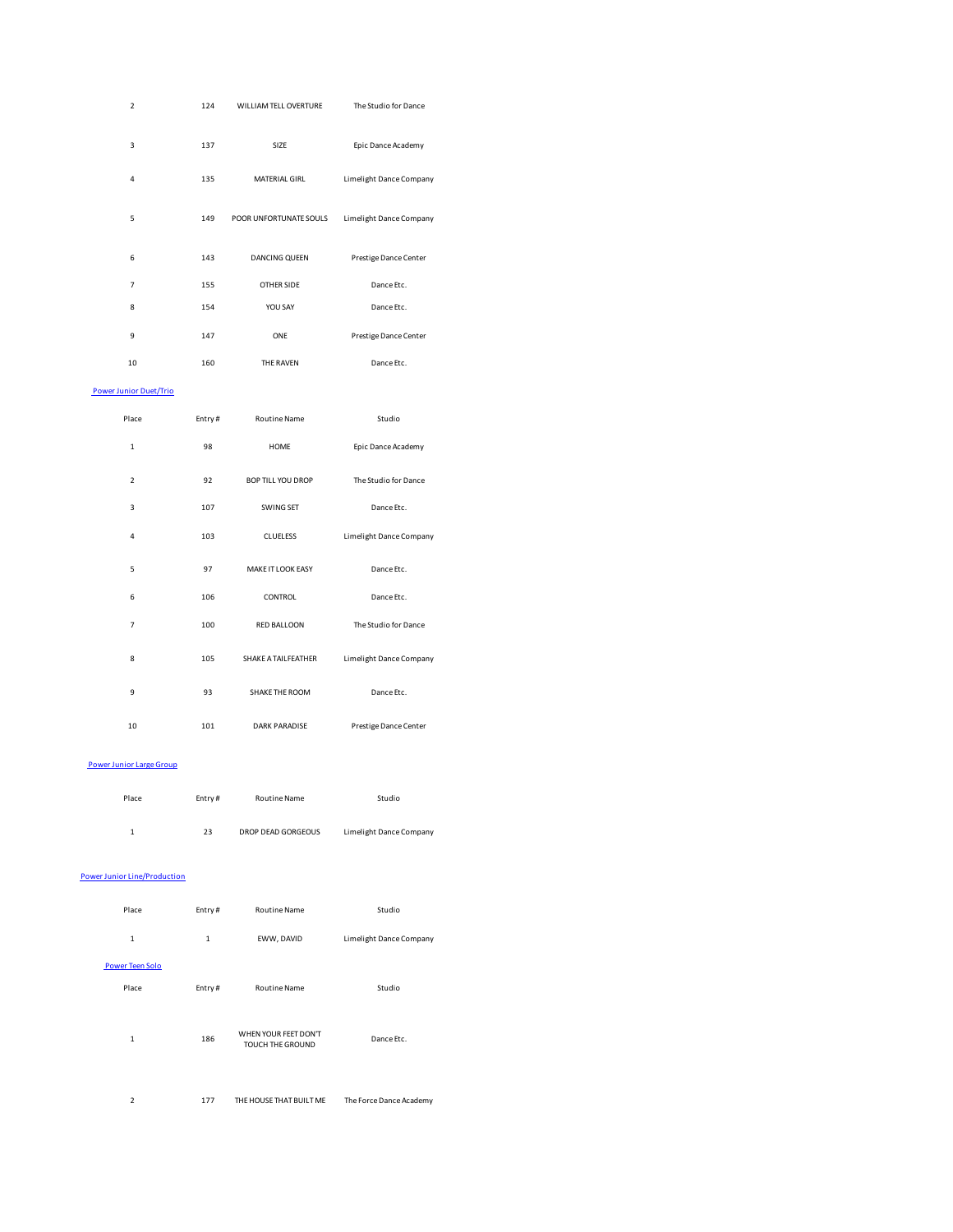| $\overline{2}$ | 124 | WILLIAM TELL OVERTURE  | The Studio for Dance    |
|----------------|-----|------------------------|-------------------------|
| 3              | 137 | SIZE                   | Epic Dance Academy      |
| 4              | 135 | <b>MATERIAL GIRL</b>   | Limelight Dance Company |
| 5              | 149 | POOR UNFORTUNATE SOULS | Limelight Dance Company |
| 6              | 143 | DANCING QUEEN          | Prestige Dance Center   |
| $\overline{7}$ | 155 | <b>OTHER SIDE</b>      | Dance Etc.              |
| 8              | 154 | YOU SAY                | Dance Etc.              |
| 9              | 147 | ONE                    | Prestige Dance Center   |
| 10             | 160 | THE RAVEN              | Dance Etc.              |

## Power Junior Duet/Trio

| Place          | Entry# | <b>Routine Name</b>      | Studio                  |
|----------------|--------|--------------------------|-------------------------|
| $\mathbf{1}$   | 98     | <b>HOME</b>              | Epic Dance Academy      |
| $\overline{2}$ | 92     | <b>BOP TILL YOU DROP</b> | The Studio for Dance    |
| 3              | 107    | SWING SET                | Dance Etc.              |
| 4              | 103    | <b>CLUELESS</b>          | Limelight Dance Company |
| 5              | 97     | MAKE IT LOOK EASY        | Dance Etc.              |
| 6              | 106    | CONTROL                  | Dance Etc.              |
| $\overline{7}$ | 100    | RED BALLOON              | The Studio for Dance    |
| 8              | 105    | SHAKE A TAILFEATHER      | Limelight Dance Company |
| 9              | 93     | SHAKE THE ROOM           | Dance Etc.              |
| 10             | 101    | <b>DARK PARADISE</b>     | Prestige Dance Center   |

#### Power Junior Large Group

| Place | Entry# | Routine Name              | Studio                  |  |
|-------|--------|---------------------------|-------------------------|--|
|       | 23     | <b>DROP DEAD GORGEOUS</b> | Limelight Dance Company |  |

## Power Junior Line/Production

| Place                  | Entry#       | <b>Routine Name</b>                             | Studio                  |
|------------------------|--------------|-------------------------------------------------|-------------------------|
| $\mathbf{1}$           | $\mathbf{1}$ | EWW, DAVID                                      | Limelight Dance Company |
| <b>Power Teen Solo</b> |              |                                                 |                         |
| Place                  | Entry#       | <b>Routine Name</b>                             | Studio                  |
|                        |              |                                                 |                         |
| 1                      | 186          | WHEN YOUR FEET DON'T<br><b>TOUCH THE GROUND</b> | Dance Etc.              |
|                        |              |                                                 |                         |
|                        |              |                                                 |                         |

# 2 177 THE HOUSE THAT BUILT ME The Force Dance Academy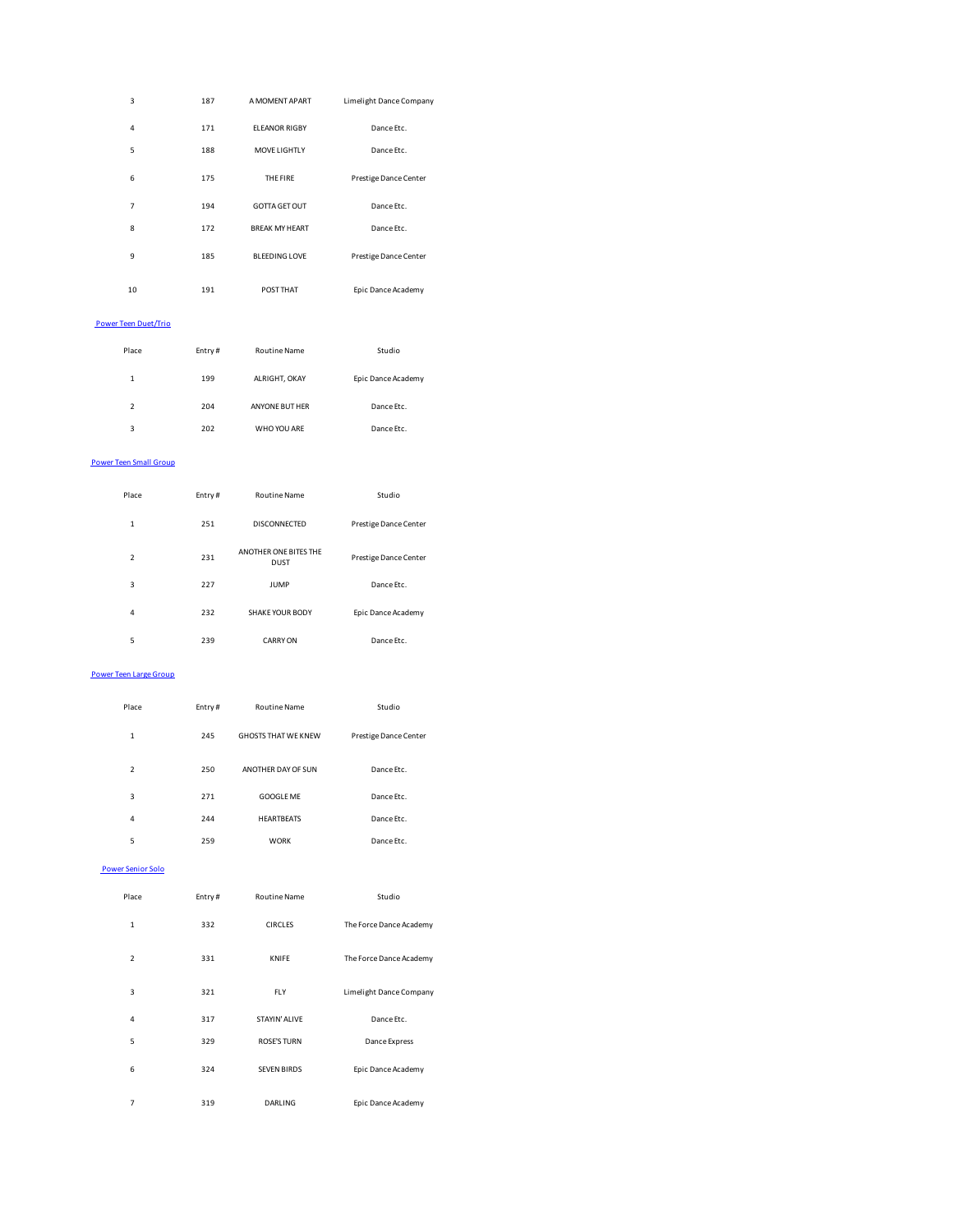| 3  | 187 | A MOMENT APART        | Limelight Dance Company |
|----|-----|-----------------------|-------------------------|
| 4  | 171 | <b>ELEANOR RIGBY</b>  | Dance Etc.              |
| 5  | 188 | <b>MOVE LIGHTLY</b>   | Dance Etc.              |
| 6  | 175 | THE FIRE              | Prestige Dance Center   |
| 7  | 194 | <b>GOTTA GET OUT</b>  | Dance Etc.              |
| 8  | 172 | <b>BREAK MY HEART</b> | Dance Etc.              |
| 9  | 185 | <b>BLEEDING LOVE</b>  | Prestige Dance Center   |
| 10 | 191 | <b>POST THAT</b>      | Epic Dance Academy      |

## Power Teen Duet/Trio

| Place                    | Entry# | <b>Routine Name</b> | Studio             |
|--------------------------|--------|---------------------|--------------------|
| 1                        | 199    | ALRIGHT, OKAY       | Epic Dance Academy |
| $\overline{\phantom{a}}$ | 204    | ANYONE BUT HER      | Dance Etc.         |
| 3                        | 202    | WHO YOU ARE         | Dance Etc.         |

# Power Teen Small Group

| Place          | Entry# | <b>Routine Name</b>                  | Studio                |
|----------------|--------|--------------------------------------|-----------------------|
| 1              | 251    | DISCONNECTED                         | Prestige Dance Center |
| $\overline{2}$ | 231    | ANOTHER ONE BITES THE<br><b>DUST</b> | Prestige Dance Center |
| 3              | 227    | <b>JUMP</b>                          | Dance Etc.            |
| 4              | 232    | SHAKE YOUR BODY                      | Epic Dance Academy    |
| 5              | 239    | <b>CARRY ON</b>                      | Dance Ftc.            |

#### Power Teen Large Group

| Place                    | Entry# | <b>Routine Name</b>        | Studio                |
|--------------------------|--------|----------------------------|-----------------------|
| 1                        | 245    | <b>GHOSTS THAT WE KNEW</b> | Prestige Dance Center |
| $\overline{\phantom{a}}$ | 250    | ANOTHER DAY OF SUN         | Dance Ftc.            |
| 3                        | 271    | <b>GOOGLE ME</b>           | Dance Etc.            |
| 4                        | 244    | <b>HEARTBEATS</b>          | Dance Ftc.            |
| 5                        | 259    | <b>WORK</b>                | Dance Etc.            |
|                          |        |                            |                       |

# Power Senior Solo

| Place                    | Entry# | <b>Routine Name</b> | Studio                  |
|--------------------------|--------|---------------------|-------------------------|
| 1                        | 332    | <b>CIRCLES</b>      | The Force Dance Academy |
| $\overline{\phantom{a}}$ | 331    | <b>KNIFE</b>        | The Force Dance Academy |
| 3                        | 321    | <b>FLY</b>          | Limelight Dance Company |
| 4                        | 317    | STAYIN' ALIVE       | Dance Etc.              |
| 5                        | 329    | <b>ROSE'S TURN</b>  | Dance Express           |
| 6                        | 324    | <b>SEVEN BIRDS</b>  | Epic Dance Academy      |
| 7                        | 319    | <b>DARLING</b>      | Epic Dance Academy      |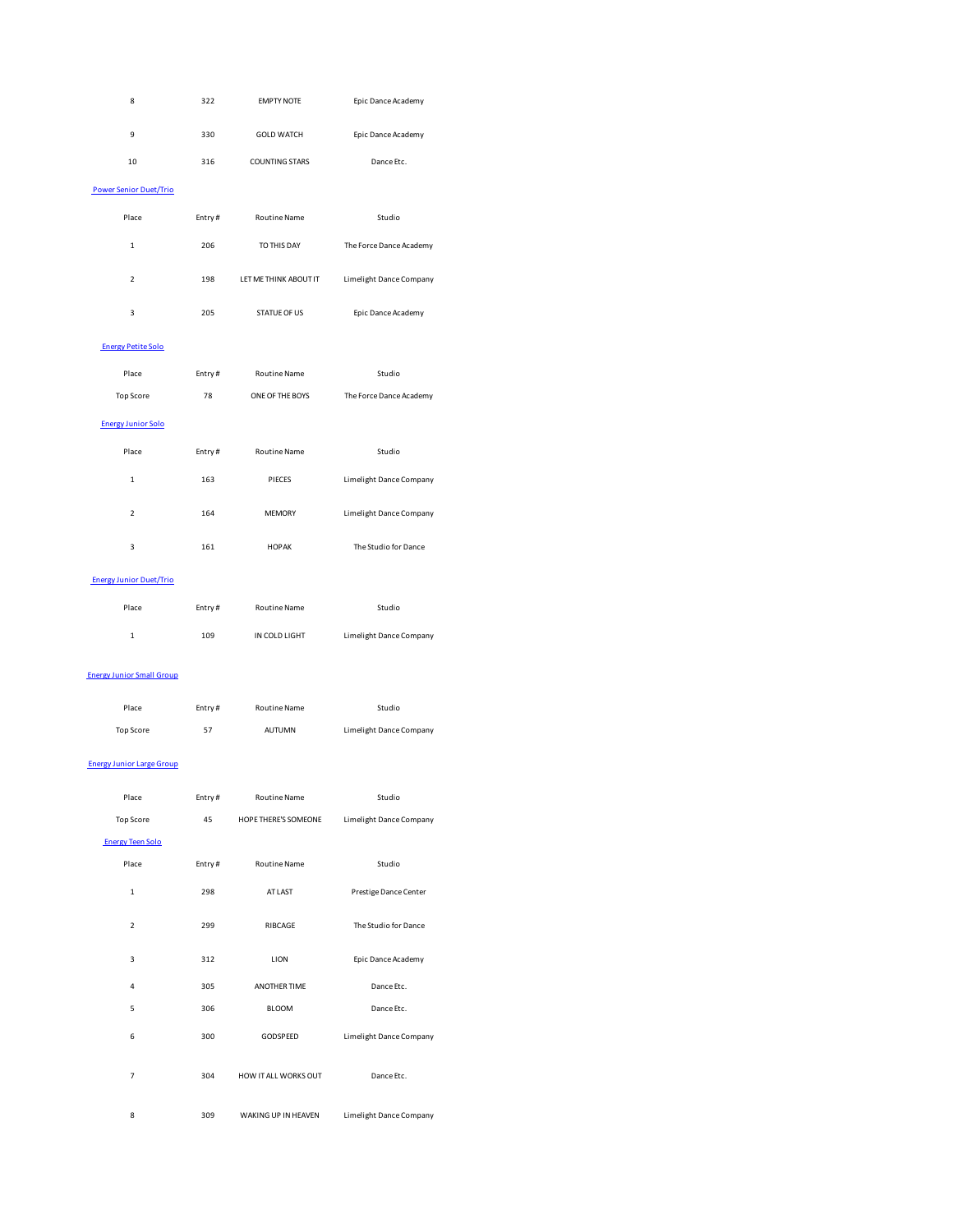| 8                                | 322     | <b>EMPTY NOTE</b>     | Epic Dance Academy      |
|----------------------------------|---------|-----------------------|-------------------------|
| 9                                | 330     | <b>GOLD WATCH</b>     | Epic Dance Academy      |
| 10                               | 316     | <b>COUNTING STARS</b> | Dance Etc.              |
| <b>Power Senior Duet/Trio</b>    |         |                       |                         |
| Place                            | Entry#  | Routine Name          | Studio                  |
| $\,1$                            | 206     | TO THIS DAY           | The Force Dance Academy |
| $\overline{\mathbf{c}}$          | 198     | LET ME THINK ABOUT IT | Limelight Dance Company |
| 3                                | 205     | STATUE OF US          | Epic Dance Academy      |
| <b>Energy Petite Solo</b>        |         |                       |                         |
| Place                            | Entry#  | Routine Name          | Studio                  |
| Top Score                        | 78      | ONE OF THE BOYS       | The Force Dance Academy |
| <b>Energy Junior Solo</b>        |         |                       |                         |
| Place                            | Entry#  | <b>Routine Name</b>   | Studio                  |
| $\mathbf 1$                      | 163     | PIECES                | Limelight Dance Company |
| $\overline{\mathbf{c}}$          | 164     | <b>MEMORY</b>         | Limelight Dance Company |
| 3                                | 161     | <b>HOPAK</b>          | The Studio for Dance    |
| <b>Energy Junior Duet/Trio</b>   |         |                       |                         |
| Place                            | Entry#  | <b>Routine Name</b>   | Studio                  |
| $\,1$                            | 109     | IN COLD LIGHT         | Limelight Dance Company |
| <b>Energy Junior Small Group</b> |         |                       |                         |
| Place                            | Entry#  | <b>Routine Name</b>   | Studio                  |
| Top Score                        | 57      | AUTUMN                | Limelight Dance Company |
| <b>Energy Junior Large Group</b> |         |                       |                         |
| Place                            | Entry # | Routine Name          | Studio                  |
| Top Score                        | 45      | HOPE THERE'S SOMEONE  | Limelight Dance Company |
| <b>Energy Teen Solo</b>          |         |                       |                         |
| Place                            | Entry#  | <b>Routine Name</b>   | Studio                  |
| $\,1$                            | 298     | AT LAST               | Prestige Dance Center   |
| $\overline{\mathbf{2}}$          | 299     | RIBCAGE               | The Studio for Dance    |
| 3                                | 312     | LION                  | Epic Dance Academy      |
| 4                                | 305     | ANOTHER TIME          | Dance Etc.              |
| 5                                | 306     | BLOOM                 | Dance Etc.              |
| 6                                | 300     | GODSPEED              | Limelight Dance Company |
| 7                                | 304     | HOW IT ALL WORKS OUT  | Dance Etc.              |
| 8                                | 309     | WAKING UP IN HEAVEN   | Limelight Dance Company |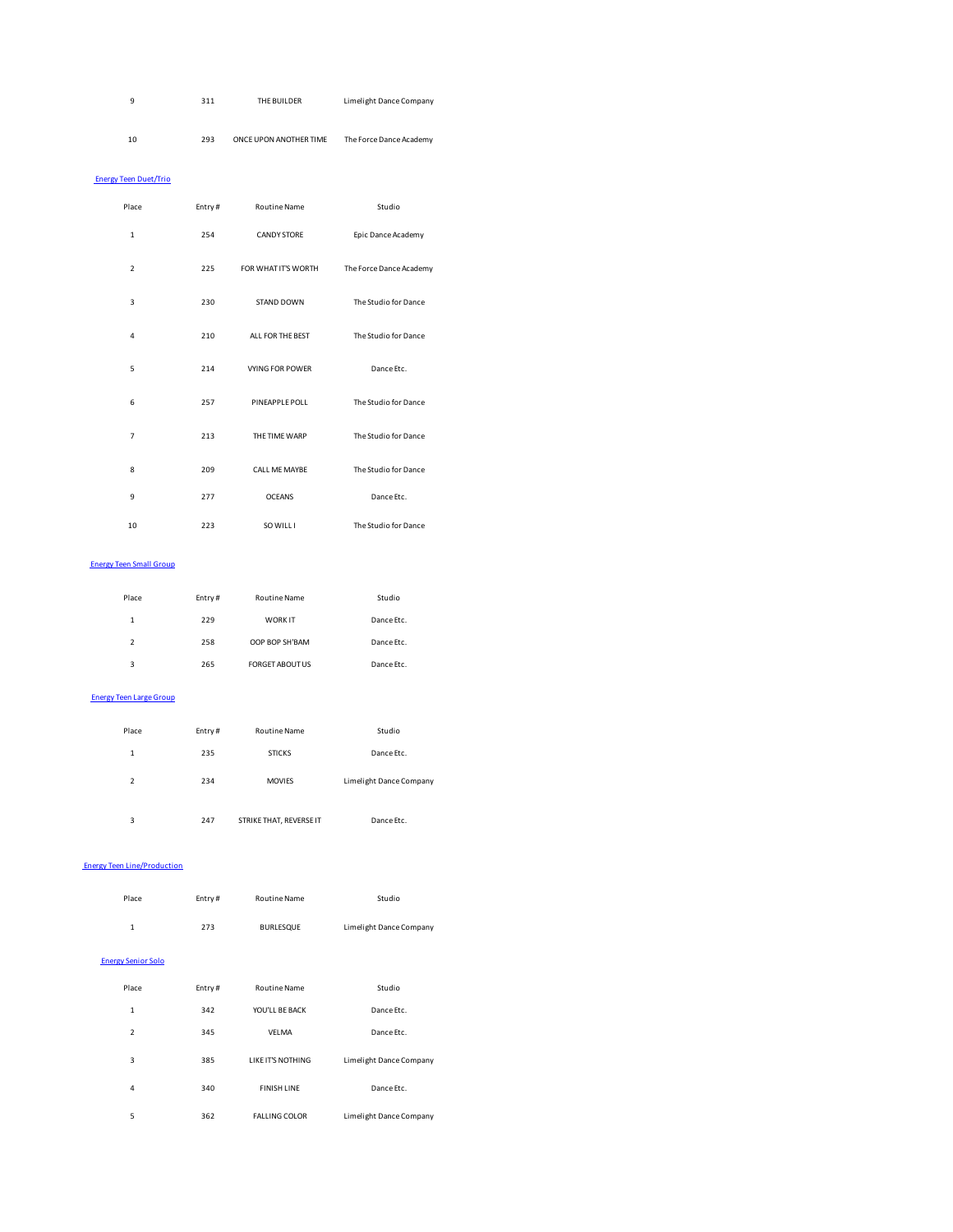| a  | 311 | THE BUILDER            | Limelight Dance Company |
|----|-----|------------------------|-------------------------|
|    |     |                        |                         |
|    |     |                        |                         |
| 10 | 293 | ONCE UPON ANOTHER TIME | The Force Dance Academy |
|    |     |                        |                         |

# Energy Teen Duet/Trio

| Place          | Entry# | <b>Routine Name</b>    | Studio                  |
|----------------|--------|------------------------|-------------------------|
| $\mathbf{1}$   | 254    | <b>CANDY STORE</b>     | Epic Dance Academy      |
| $\overline{2}$ | 225    | FOR WHAT IT'S WORTH    | The Force Dance Academy |
| 3              | 230    | STAND DOWN             | The Studio for Dance    |
| 4              | 210    | ALL FOR THE BEST       | The Studio for Dance    |
| 5              | 214    | <b>VYING FOR POWER</b> | Dance Etc.              |
| 6              | 257    | PINEAPPLE POLL         | The Studio for Dance    |
| $\overline{7}$ | 213    | THE TIME WARP          | The Studio for Dance    |
| 8              | 209    | CALL ME MAYBE          | The Studio for Dance    |
| 9              | 277    | <b>OCEANS</b>          | Dance Etc.              |
| 10             | 223    | SO WILL I              | The Studio for Dance    |

## Energy Teen Small Group

| Place                    | Entry# | <b>Routine Name</b>    | Studio     |
|--------------------------|--------|------------------------|------------|
| 1                        | 229    | <b>WORK IT</b>         | Dance Etc. |
| $\overline{\phantom{a}}$ | 258    | OOP BOP SH'BAM         | Dance Etc. |
| 3                        | 265    | <b>FORGET ABOUT US</b> | Dance Etc. |

# Energy Teen Large Group

| Place                    | Entry# | <b>Routine Name</b>     | Studio                  |
|--------------------------|--------|-------------------------|-------------------------|
| 1                        | 235    | <b>STICKS</b>           | Dance Etc.              |
| $\overline{\phantom{a}}$ | 234    | <b>MOVIES</b>           | Limelight Dance Company |
| 3                        | 247    | STRIKE THAT, REVERSE IT | Dance Etc.              |

# Energy Teen Line/Production

| Place                     | Entry# | <b>Routine Name</b>      | Studio                  |
|---------------------------|--------|--------------------------|-------------------------|
| $\mathbf{1}$              | 273    | <b>BURLESQUE</b>         | Limelight Dance Company |
| <b>Energy Senior Solo</b> |        |                          |                         |
| Place                     | Entry# | <b>Routine Name</b>      | Studio                  |
| $\mathbf{1}$              | 342    | YOU'LL BE BACK           | Dance Etc.              |
| $\overline{2}$            | 345    | <b>VELMA</b>             | Dance Etc.              |
| 3                         | 385    | <b>LIKE IT'S NOTHING</b> | Limelight Dance Company |
| 4                         | 340    | <b>FINISH LINE</b>       | Dance Etc.              |
| 5                         | 362    | <b>FALLING COLOR</b>     | Limelight Dance Company |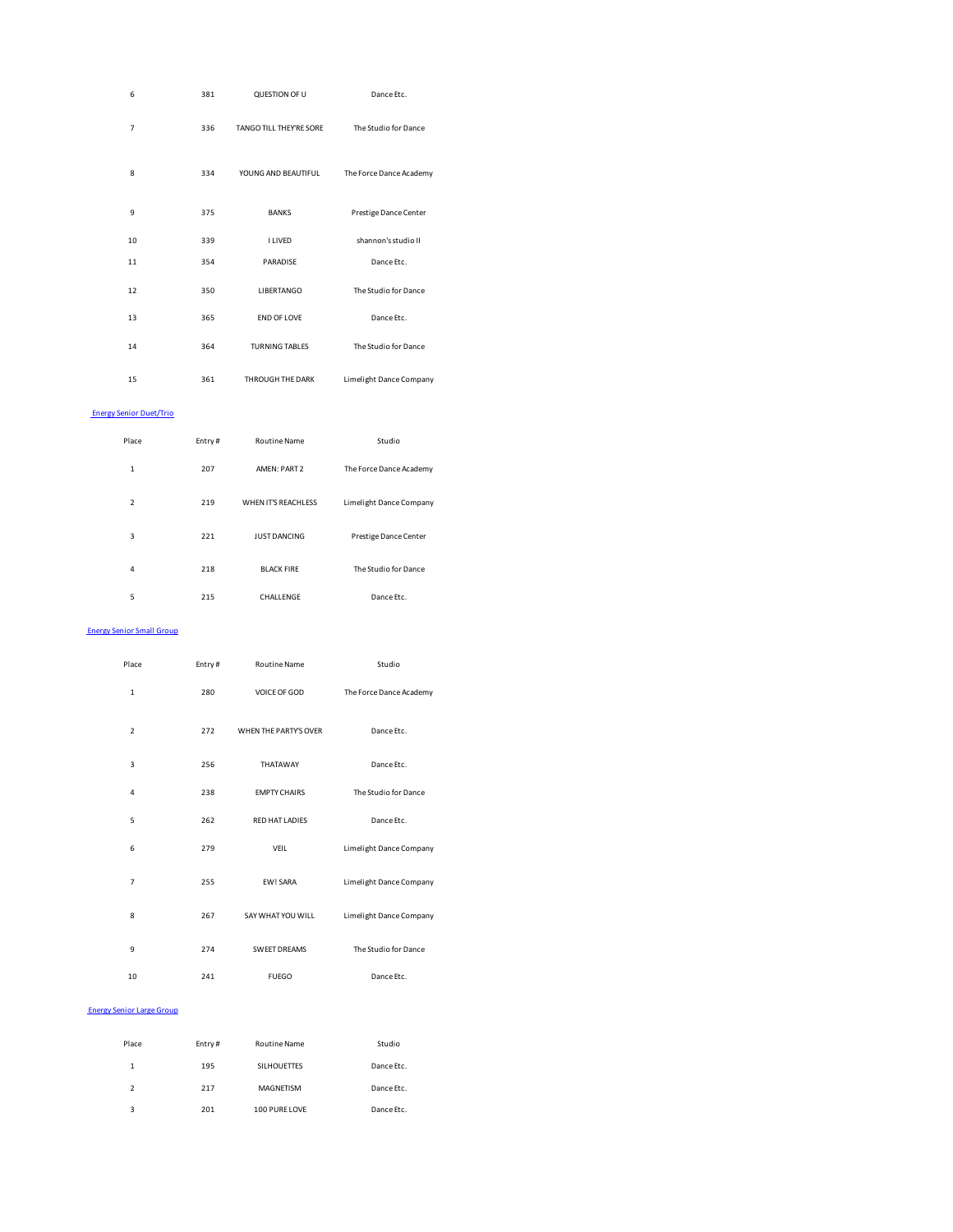| 6                                | 381    | QUESTION OF U           | Dance Etc.              |  |
|----------------------------------|--------|-------------------------|-------------------------|--|
| 7                                | 336    | TANGO TILL THEY'RE SORE | The Studio for Dance    |  |
| 8                                | 334    | YOUNG AND BEAUTIFUL     | The Force Dance Academy |  |
| 9                                | 375    | <b>BANKS</b>            | Prestige Dance Center   |  |
| 10                               | 339    | <b>I LIVED</b>          | shannon's studio II     |  |
| 11                               | 354    | PARADISE                | Dance Etc.              |  |
| 12                               | 350    | LIBERTANGO              | The Studio for Dance    |  |
| 13                               | 365    | END OF LOVE             | Dance Etc.              |  |
| 14                               | 364    | <b>TURNING TABLES</b>   | The Studio for Dance    |  |
| 15                               | 361    | THROUGH THE DARK        | Limelight Dance Company |  |
| <b>Energy Senior Duet/Trio</b>   |        |                         |                         |  |
| Place                            | Entry# | Routine Name            | Studio                  |  |
| $\,1$                            | 207    | AMEN: PART 2            | The Force Dance Academy |  |
| $\overline{2}$                   | 219    | WHEN IT'S REACHLESS     | Limelight Dance Company |  |
| 3                                | 221    | <b>JUST DANCING</b>     | Prestige Dance Center   |  |
| 4                                | 218    | <b>BLACK FIRE</b>       | The Studio for Dance    |  |
| 5                                | 215    | CHALLENGE               | Dance Etc.              |  |
| <b>Energy Senior Small Group</b> |        |                         |                         |  |
| Place                            | Entry# | Routine Name            | Studio                  |  |
| 1                                | 280    | VOICE OF GOD            | The Force Dance Academy |  |
| $\overline{2}$                   | 272    | WHEN THE PARTY'S OVER   | Dance Etc.              |  |
| 3                                | 256    | THATAWAY                | Dance Etc.              |  |
| 4                                | 238    | <b>EMPTY CHAIRS</b>     | The Studio for Dance    |  |
| 5                                | 262    | <b>RED HAT LADIES</b>   | Dance Etc.              |  |
| 6                                | 279    | VEIL                    | Limelight Dance Company |  |
| 7                                | 255    | EW! SARA                | Limelight Dance Company |  |
| 8                                | 267    | SAY WHAT YOU WILL       | Limelight Dance Company |  |
| 9                                | 274    | SWEET DREAMS            | The Studio for Dance    |  |
| 10                               | 241    | <b>FUEGO</b>            | Dance Etc.              |  |
| <b>Energy Senior Large Group</b> |        |                         |                         |  |
| Place                            | Entry# | <b>Routine Name</b>     | Studio                  |  |
| 1                                | 195    | <b>SILHOUETTES</b>      | Dance Etc.              |  |
| $\overline{2}$                   | 217    | MAGNETISM               | Dance Etc.              |  |

3 201 100 PURE LOVE Dance Etc.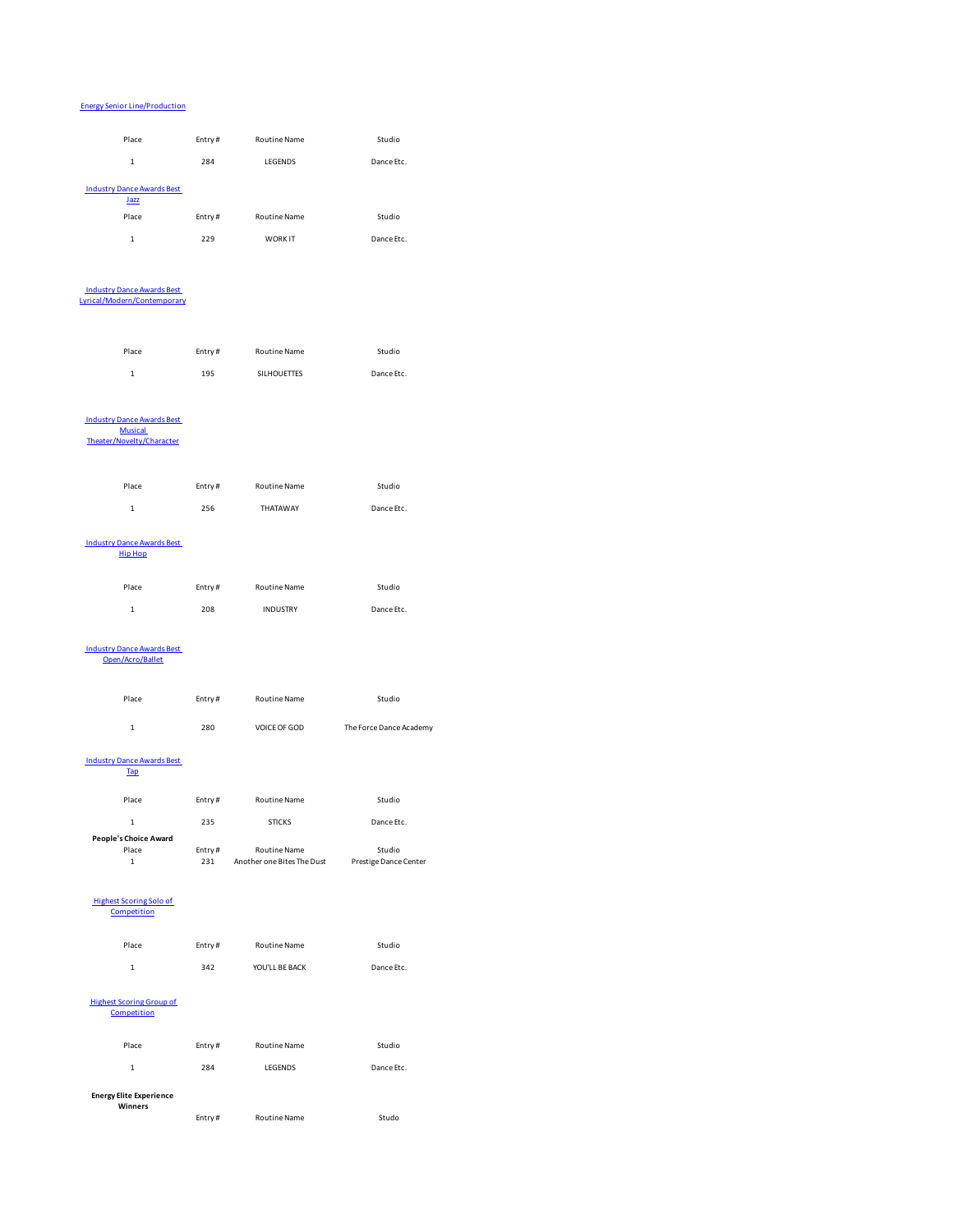# Energy Senior Line/Production

| Place                                                 | Entry# | Routine Name               | Studio                  |  |
|-------------------------------------------------------|--------|----------------------------|-------------------------|--|
|                                                       |        |                            |                         |  |
| $\mathbf{1}$                                          | 284    | LEGENDS                    | Dance Etc.              |  |
| <b>Industry Dance Awards Best</b>                     |        |                            |                         |  |
| Jazz                                                  |        |                            |                         |  |
| Place                                                 | Entry# | Routine Name               | Studio                  |  |
| $\mathbf 1$                                           | 229    | WORK IT                    | Dance Etc.              |  |
|                                                       |        |                            |                         |  |
|                                                       |        |                            |                         |  |
| <b>Industry Dance Awards Best</b>                     |        |                            |                         |  |
| Lyrical/Modern/Contemporary                           |        |                            |                         |  |
|                                                       |        |                            |                         |  |
|                                                       |        |                            |                         |  |
| Place                                                 | Entry# | Routine Name               | Studio                  |  |
| $\mathbf{1}$                                          | 195    | SILHOUETTES                | Dance Etc.              |  |
|                                                       |        |                            |                         |  |
|                                                       |        |                            |                         |  |
| <b>Industry Dance Awards Best</b>                     |        |                            |                         |  |
| <b>Musical</b><br>Theater/Novelty/Character           |        |                            |                         |  |
|                                                       |        |                            |                         |  |
|                                                       |        |                            |                         |  |
| Place                                                 | Entry# | Routine Name               | Studio                  |  |
| $\mathbf{1}$                                          | 256    | THATAWAY                   | Dance Etc.              |  |
|                                                       |        |                            |                         |  |
| <b>Industry Dance Awards Best</b>                     |        |                            |                         |  |
| <b>Hip Hop</b>                                        |        |                            |                         |  |
|                                                       |        |                            |                         |  |
| Place                                                 | Entry# | Routine Name               | Studio                  |  |
| $\mathbf{1}$                                          | 208    | <b>INDUSTRY</b>            | Dance Etc.              |  |
|                                                       |        |                            |                         |  |
|                                                       |        |                            |                         |  |
| <b>Industry Dance Awards Best</b><br>Open/Acro/Ballet |        |                            |                         |  |
|                                                       |        |                            |                         |  |
| Place                                                 | Entry# | Routine Name               | Studio                  |  |
|                                                       |        |                            |                         |  |
| 1                                                     | 280    | VOICE OF GOD               | The Force Dance Academy |  |
|                                                       |        |                            |                         |  |
| <b>Industry Dance Awards Best</b>                     |        |                            |                         |  |
| <b>Tap</b>                                            |        |                            |                         |  |
| Place                                                 | Entry# | Routine Name               | Studio                  |  |
|                                                       |        |                            |                         |  |
| 1                                                     | 235    | <b>STICKS</b>              | Dance Etc.              |  |
| People's Choice Award<br>Place                        | Entry# | Routine Name               | Studio                  |  |
| $\mathbf{1}$                                          | 231    | Another one Bites The Dust | Prestige Dance Center   |  |
|                                                       |        |                            |                         |  |
| <b>Highest Scoring Solo of</b>                        |        |                            |                         |  |
| Competition                                           |        |                            |                         |  |
|                                                       |        |                            |                         |  |
| Place                                                 | Entry# | Routine Name               | Studio                  |  |
| $\mathbf{1}$                                          | 342    | YOU'LL BE BACK             | Dance Etc.              |  |
|                                                       |        |                            |                         |  |
| <b>Highest Scoring Group of</b>                       |        |                            |                         |  |
| Competition                                           |        |                            |                         |  |
|                                                       |        |                            |                         |  |
| Place                                                 | Entry# | Routine Name               | Studio                  |  |
| $\mathbf{1}$                                          | 284    | LEGENDS                    | Dance Etc.              |  |
|                                                       |        |                            |                         |  |
| <b>Energy Elite Experience</b><br>Winners             |        |                            |                         |  |
|                                                       | Entry# | Routine Name               | Studo                   |  |